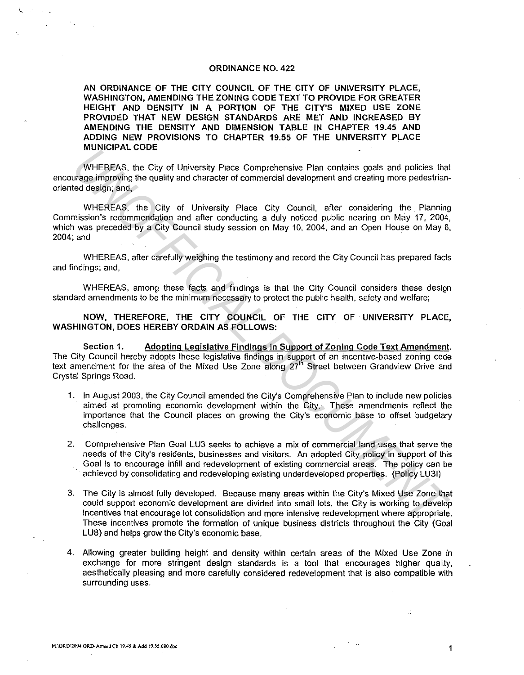### ORDINANCE NO. 422

AN ORDINANCE OF THE CITY COUNCIL OF THE CITY OF UNIVERSITY PLACE, WASHINGTON, AMENDING THE ZONING CODE TEXT TO PROVIDE FOR GREATER HEIGHT AND DENSITY IN A PORTION OF THE CITY'S MIXED USE ZONE PROVIDED THAT NEW DESIGN STANDARDS ARE MET AND INCREASED BY AMENDING THE DENSITY AND DIMENSION TABLE IN CHAPTER 19.45 AND ADDING NEW PROVISIONS TO CHAPTER 19.55 OF THE UNIVERSITY PLACE MUNICIPAL CODE

WHEREAS, the City of University Place Comprehensive Plan contains goals and policies that encourage improving the quality and character of commercial development and creating more pedestrianoriented design; and.

WHEREAS, the City of University Place City Council, after considering the Planning Commission"s recommendation and after conducting a duly noticed public hearing on May 17, 2004, which was preceded by a City Council study session on May 10, 2004, and an Open House on May 6, 2004;and **INVENTERS, the City of University Place Comprehensive Plan contains goals and policies that were proportional of the city of University Place City Council, after considering the Planning development and creating more pede** 

WHEREAS, after carefully weighing the testimony and record the City Council has prepared facts and findings; and,

WHEREAS, among these facts and findings is that the City Council considers these design standard amendments to be the minimum necessary to protect the public health, safety and welfare;

NOW, THEREFORE, THE CITY COUNCIL OF THE CITY OF UNIVERSITY PLACE, WASHINGTON, DOES HEREBY ORDAIN AS FOLLOWS:

Section 1. Adopting Legislative Findings in Support of Zoning Code Text Amendment. The City Council hereby adopts these legislative findings in support of an incentive-based zoning code text amendment for the area of the Mixed Use Zone along 27<sup>th</sup> Street between Grandview Drive and Crystal Springs Road.

- 1. In August 2003, the City Council amended the City's Comprehensive Plan to include new policies aimed at promoting economic development within the City. These amendments reflect the importance that the Council places on growing the City's economic base to offset budgetary challenges.
- 2. Comprehensive Plan Goal LU3 seeks to achieve a mix of commercial land uses that serve the needs of the City's residents, businesses and visitors. An adopted City policy in support of this Goal is to encourage infill and redevelopment of existing commercial areas. The policy can be achieved by consolidating and redeveloping existing underdeveloped properties. (Policy LU31)
- 3. The City is almost fully developed. Because many areas within the City's Mixed Use Zone that could support economic development are divided into small lots, the City is working to develop incentives that encourage lot consolidation and more intensive redevelopment where appropriate. These incentives promote the formation of unique business districts throughout the City (Goal LUB) and helps grow the City's economic base.
- 4. Allowing greater building height and density within certain areas of the Mixed Use Zone in exchange for more stringent design standards is a tool that encourages higher quality, aesthetically pleasing and more carefully considered redevelopment that is also compatible with surrounding uses.

Æ.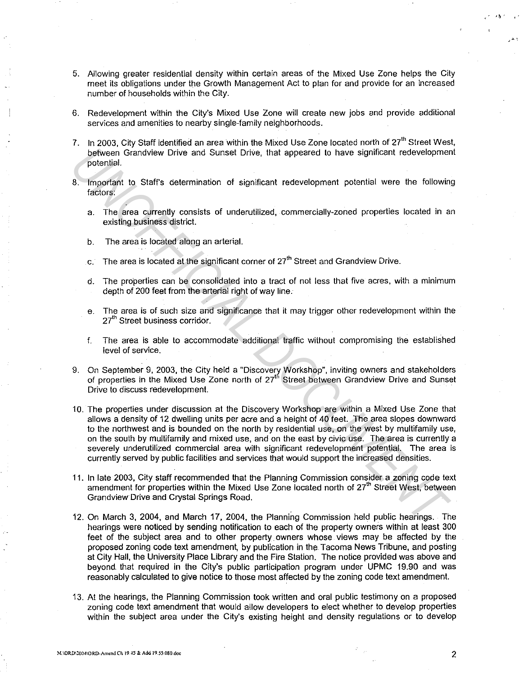- 5. Allowing greater residential density within certain areas of the Mixed Use Zone helps the City meet its obligations under the Growth Management Act to plan for and provide for an increased number of households within the City.
- 6. Redevelopment within the City's Mixed Use Zone will create new jobs and provide additional services and amenities to nearby single-family neighborhoods.
- 7. In 2003, City Staff identified an area within the Mixed Use Zone located north of 27<sup>th</sup> Street West. between Grandview Drive and Sunset Drive, that appeared to have significant redevelopment potential.
- 8. Important to Staff's determination of significant redevelopment potential were the following factors:
	- a. The area currently consists of underutilized, commercially-zoned properties located in an existing business district.
	- b. The area is located along an arterial.
	- c. The area is located at the significant corner of  $27<sup>th</sup>$  Street and Grandview Drive.
	- d. The properties can be consolidated into a tract of not less that five acres, with a minimum depth of 200 feet from the arterial right of way line.
	- e. The area is of such size and significance that it may trigger other redevelopment within the 27<sup>th</sup> Street business corridor.
	- f. The area is able to accommodate additional traffic without compromising the established level of service.
- 9. On September 9, 2003, the City held a "Discovery Workshop", inviting owners and stakeholders of properties in the Mixed Use Zone north of 27<sup>th</sup> Street between Grandview Drive and Sunset Drive to discuss redevelopment.
- 10. The properties under discussion at the Discovery Workshop are within a Mixed Use Zone that allows a density of 12 dwelling units per acre and a height of 40 feet. The area slopes downward to the northwest and is bounded on the north by residential use, on the west by multifamily use, on the south by multifamily and mixed use, and on the east by civic use. The area is currently a severely underutilized commercial area with significant redevelopment potential. The area is currently served by public facilities and services that would support the increased densities. **Explorence Constrained State School State School State School Specifical Transformed Works (and Surate Drive, that appeared to have significant redevelopment<br>
9. Important to Staff's determination of significant redevelop**
- 11. In late 2003, City staff recommended that the Planning Commission consider a zoning code text amendment for properties within the Mixed Use Zone located north of 27<sup>th</sup> Street West, between Grandview Drive and Crystal Springs Road.
- 12. On March 3, 2004, and March 17, 2004, the Planning Commission held public hearings. The hearings were noticed by sending notification to each of the property owners within at least 300 feet of the subject area and to other property. owners whose views may be affected by the proposed zoning code text amendment, by publication in the Tacoma News Tribune, and posting at City Hall, the University Place Library and the Fire Station. The notice provided was above and beyond that required in the City's public participation program under UPMC 19.90 and was reasonably calculated to give notice to those most affected by the zoning code text amendment.
- 13. At the hearings, the Planning Commission took written and oral public testimony on a proposed zoning code text amendment that would allow developers to elect whether to develop properties within the subject area under the City's existing height and density regulations or to develop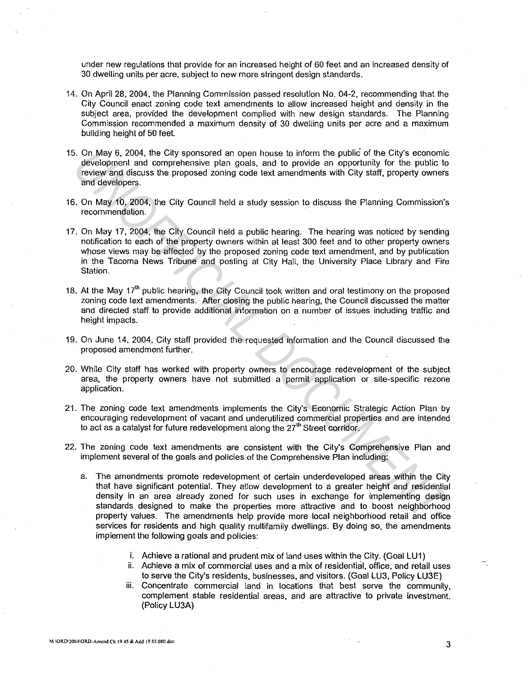under new regulations that provide for an increased height of 60 feet and an increased density of 30 dwelling units per acre, subject to new more stringent design standards.

- 14. On April 28, 2004, the Planning Commission passed resolution No. 04-2, recommending that the City Council enact zoning code text amendments to allow increased height and density in the subject area, provided the development complied with new design standards. The Planning Commission recommended a maximum density of 30 dwelling units per acre and a maximum building height of 50 feet.
- 15. On May 6, 2004, the City sponsored an open house to inform the public of the City's economic development and comprehensive plan goals, and to provide an opportunity for the public to review and discuss the proposed zoning code text amendments with City staff, property owners and developers.
- 16. On May 10, 2004, the City Council held a study session to discuss the Planning Commission's recommendation.
- 17. On May 17, 2004, the City Council held a public hearing. The hearing was noticed by sending notification to each of the property owners within at least 300 feet and to other property owners whose views may be affected by the proposed zoning code text amendment, and by publication in the Tacoma News Tribune and posting at City Hall, the University Place Library and Fire Station.
- 18. At the May 17<sup>th</sup> public hearing, the City Council took written and oral testimony on the proposed zoning code text amendments. After closing the public hearing, the Council discussed the matter and directed staff to provide additional information on a number of issues including traffic and height impacts.
- 19. On June 14, 2004, City staff provided the requested information and the Council discussed the proposed amendment further.
- 20. While City staff has worked with property owners to encourage redevelopment of the subject area, the property owners have not submitted a permit application or site-specific rezone application.
- 21. The zoning code text amendments implements the City's Economic Strategic Action Plan by encouraging redevelopment of vacant and underutilized commercial properties and are intended to act as a catalyst for future redevelopment along the 27 $^{\rm{m}}$  Street corridor.
- 22. The zoning code text amendments are consistent with the City's Comprehensive Plan and implement several of the goals and policies of the Comprehensive Plan including:
- a. The amendments promote redevelopment of certain underdeveloped areas within the City that have significant potential. They allow development to a greater height and residential density in an area already zoned for such uses in exchange for implementing design standards designed to make the properties more attractive and to boost neighborhood property values. The amendments help provide more local neighborhood retail and office services for residents and high quality multifamily dwellings. By doing so, the amendments implement the following goals and policies: 5. On, May 6, 2004, the Clity sponsored an open house to inform the public of the Clity's economic property and domprehensive plan goals, and to provide an opportunity for the public lotters are interpretent of the clity C
	- i. Achieve a rational and prudent mix of land uses within the City. (Goal LU1)
	- ii. Achieve a mix of commercial uses and a mix of residential, office, and retail uses to serve the City's residents, businesses, and visitors. (Goal LU3, Policy LU3E)
	- iii. Concentrate commercial land in locations that best serve the community, complement stable residential areas, and are attractive to private investment. (Policy LU3A)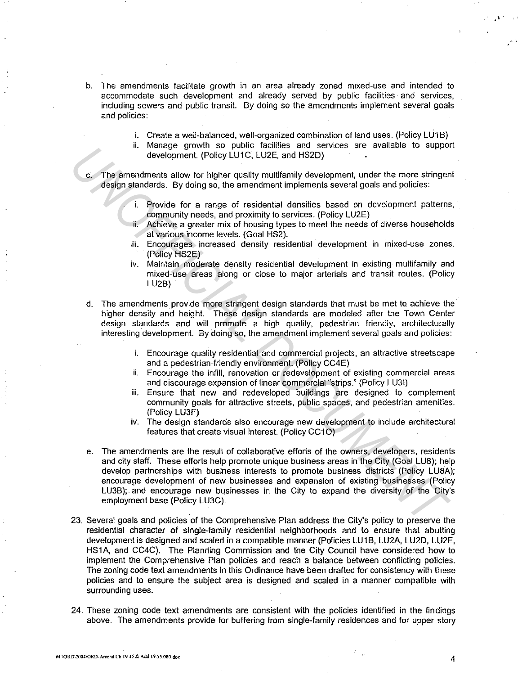- b. The amendments facilitate growth in an area already zoned mixed-use and intended to accommodate such development and already served by public facilities and services, including sewers and public transit. By doing so the amendments implement several goals and policies:
	- i. Create a well-balanced, well-organized combination of land uses. (Policy LU1B)
	- ii. Manage growth so public facilities and services are available to support development. (Policy LU1C, LU2E, and HS2D)
- c. The amendments allow for higher quality multifamily development, under the more stringent design standards. By doing so, the amendment implements several goals and policies:
	- Provide for a range of residential densities based on development patterns, community needs, and proximity to services. (Policy LU2E)
	- Achieve a greater mix of housing types to meet the needs of diverse households at various income levels. (Goal HS2).
	- iii. Encourages increased density residential development in mixed-use zones. (Policy HS2E)
	- iv. Maintain moderate density residential development in existing multifamily and mixed-use areas along or close to major arterials and transit routes. (Policy LU2B)
- d. The amendments provide more stringent design standards that must be met to achieve the higher density and height. These design standards are modeled after the Town Center design standards and will promote a high quality, pedestrian friendly, architecturally interesting development. By doing so, the amendment implement several goals and policies:
	- i. Encourage quality residential and commercial projects, an attractive streetscape and a pedestrian-friendly environment. (Policy CC4E)
	- ii. Encourage the infill, renovation or redevelopment of existing commercial areas and discourage expansion of linear commercial "strips." (Policy LU31)
	- iii. Ensure that new and redeveloped buildings are designed to complement community goals for attractive streets, public spaces, and pedestrian amenities. (Policy LU3F)
	- iv. The design standards also encourage new development to include architectural features that create visual interest. (Policy CC10)
- e. The amendments are the result of collaborative efforts of the owners, developers, residents and city staff. These efforts help promote unique business areas in the City (Goal LUB); help develop partnerships with business interests to promote business districts (Policy LUBA); encourage development of new businesses and expansion of existing businesses (Policy LU3B); and encourage new businesses in the City to expand the diversity of the City's employment base (Policy LU3C). It industry to the priorities and selection of the priorities and selection of the content of the content of the content of the content of the content of the content of the content of the content of the content of the mat
- 23. Several goals and policies of the Comprehensive Plan address the City's policy to preserve the residential character of single-family residential neighborhoods and to ensure that abutting development is designed and scaled in a compatible manner (Policies LU1B, LU2A, LU2D, LU2E, HS1A, and CC4C). The Planning Commission and the City Council have considered how to implement the Comprehensive Plan policies and reach a balance between conflicting policies. The zoning code text amendments in this Ordinance have been drafted for consistency with these policies and to ensure the subject area is designed and scaled in a manner compatible with surrounding uses.
- 24. These zoning code text amendments are consistent with the policies identified in the findings above. The amendments provide for buffering from single-family residences and for upper story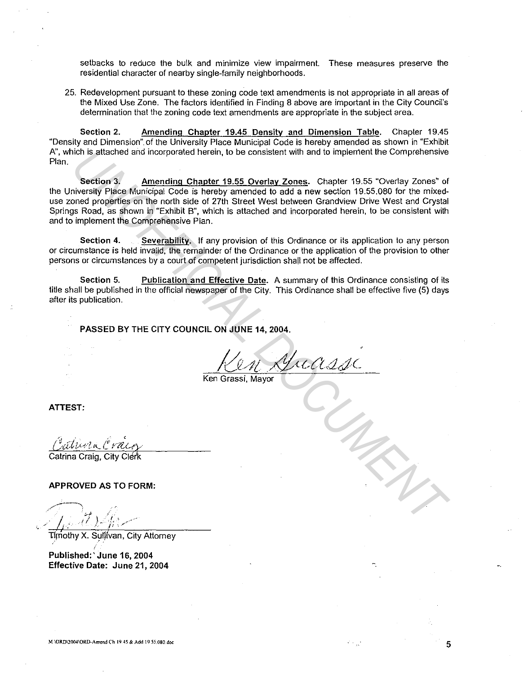setbacks to reduce the bulk and minimize view impairment. These measures preserve the residential character of nearby single-family neighborhoods.

25. Redevelopment pursuant to these zoning code text amendments is not appropriate in all areas of the Mixed Use Zone. The factors identified in Finding 8 above are important in the City Council's determination that the zoning code text amendments are appropriate in the subject area.

**Section 2. Amending Chapter 19.45 Density and Dimension Table.** Chapter 19.45 "Density and Dimension". of the University Place Municipal Code is hereby amended as shown in "Exhibit A", which is attached and incorporated herein, to be consistent with and to implement the Comprehensive Plan.

**Section 3. Amending Chapter 19.55 Overlay Zones.** Chapter 19.55 "Overlay Zones" of the University Place Municipal Code is hereby amended to add a new section 19.55.080 for the mixeduse zoned properties on the north side of 27th Street West between Grandview Drive West and Crystal Springs Road, as shown in "Exhibit B", which is attached and incorporated herein, to be consistent with and to implement the Comprehensive Plan. ich is attached and incorporated herein, to be consistent with and to implement the Comprehensive<br> **Section 3.** <u>Amending Chapter 19.55 Overlay Zones</u>. Chapter 19.55 "Overlay Zones" of<br>
iversity Piace Municipal Code is her

**Section 4. Severability.** If any provision of this Ordinance or its application to any person or circumstance is held invalid, the remainder of the Ordinance or the application of the provision to other persons or circumstances by a court of competent jurisdiction shall not be affected.

**Section 5. Publication and Effective Date.** A summary of this Ordinance consisting of its title shall be published in the official newspaper of the City. This Ordinance shall be effective five (5) days after its publication.

**PASSED BY THE CITY COUNCIL ON JUNE 14, 2004.** 

Ken Grassi, Mayor

**ATTEST:** 

Catrina Craig, City Clérk

**APPROVED AS TO FORM:** 

Timothy X. Sullivan, City Attorney

**Published:' June 16, 2004 Effective Date: June 21, 2004** 

5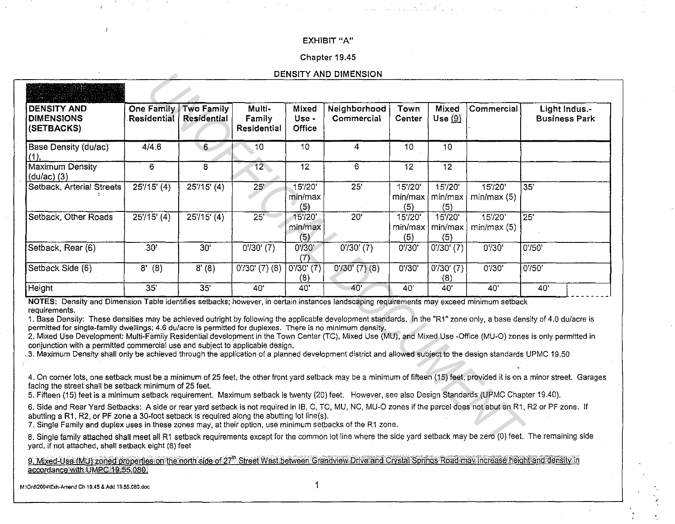### **EXHIBIT** "A"

### Chapter 19.45

#### **DENSITY AND DIMENSION**

|                                                                                                                                                                                                                                                                                                                                                                                                                                                                                                                                                                                                                                                                                                                                                                                                                                                                    |                                         |                                         |                                 |                                 | DENSITY AND DIMENSION      |                           |                                         |                       |                                       |  |
|--------------------------------------------------------------------------------------------------------------------------------------------------------------------------------------------------------------------------------------------------------------------------------------------------------------------------------------------------------------------------------------------------------------------------------------------------------------------------------------------------------------------------------------------------------------------------------------------------------------------------------------------------------------------------------------------------------------------------------------------------------------------------------------------------------------------------------------------------------------------|-----------------------------------------|-----------------------------------------|---------------------------------|---------------------------------|----------------------------|---------------------------|-----------------------------------------|-----------------------|---------------------------------------|--|
|                                                                                                                                                                                                                                                                                                                                                                                                                                                                                                                                                                                                                                                                                                                                                                                                                                                                    |                                         |                                         |                                 |                                 |                            |                           |                                         |                       |                                       |  |
| <b>DENSITY AND</b><br><b>DIMENSIONS</b><br>(SETBACKS)                                                                                                                                                                                                                                                                                                                                                                                                                                                                                                                                                                                                                                                                                                                                                                                                              | <b>One Family</b><br><b>Residential</b> | <b>Two Family</b><br><b>Residential</b> | Multi-<br>Family<br>Residential | Mixed<br>Use -<br><b>Office</b> | Neighborhood<br>Commercial | Town<br>Center            | Mixed<br>Use $(9)$                      | Commercial            | Light Indus.-<br><b>Business Park</b> |  |
| Base Density (du/ac)<br>(1),                                                                                                                                                                                                                                                                                                                                                                                                                                                                                                                                                                                                                                                                                                                                                                                                                                       | 4/4.6                                   | 6                                       | 10                              | 10                              | $\mathbf{4}$               | 10 <sub>10</sub>          | 10                                      |                       |                                       |  |
| Maximum Density<br>$(dulac)$ (3)                                                                                                                                                                                                                                                                                                                                                                                                                                                                                                                                                                                                                                                                                                                                                                                                                                   | 6                                       | 8                                       | $\overline{12}$                 | $\overline{12}$                 | 6                          | 12                        | $\overline{12}$                         |                       |                                       |  |
| Setback, Arterial Streets                                                                                                                                                                                                                                                                                                                                                                                                                                                                                                                                                                                                                                                                                                                                                                                                                                          | $25'/15'$ (4)                           | $25'/15'$ (4)                           | 25 <sup>7</sup>                 | 15'/20"<br>min/max<br>(5)       | $\overline{25}$            | $15'$ /20'<br>(5)         | $15'$ /20'<br>min/max   min/max <br>(5) | 15'/20"<br>min/max(5) | $\overline{35'}$                      |  |
| Setback, Other Roads                                                                                                                                                                                                                                                                                                                                                                                                                                                                                                                                                                                                                                                                                                                                                                                                                                               | $25'/15'$ (4)                           | $25'/15'$ (4)                           | 25'                             | 15'/20'<br>min/max<br>(5)       | $20^7$                     | 15'/20'<br>min/max<br>(5) | $15'$ /20'<br>min/max<br>(5)            | 15'/20'<br>min/max(5) | $\overline{25}$                       |  |
| Setback, Rear (6)                                                                                                                                                                                                                                                                                                                                                                                                                                                                                                                                                                                                                                                                                                                                                                                                                                                  | 30'                                     | 30 <sup>7</sup>                         | $0'30'$ (7)                     | 0' / 30'<br>(7)                 | $0'$ /30' (7)              | 0'30'                     | 0'30' (7)                               | 0'30'                 | $0'$ /50 $'$                          |  |
| Setback Side (6)                                                                                                                                                                                                                                                                                                                                                                                                                                                                                                                                                                                                                                                                                                                                                                                                                                                   | 8'(8)                                   | 8'(8)                                   | $0'$ /30' $(7)$ $(8)$           | 0'30' (7)<br>(8)                | $0'$ /30' $(7)$ (8)        | 0'30'                     | 0'30' (7)<br>(8)                        | 0'30'                 | 0' / 50'                              |  |
| Height                                                                                                                                                                                                                                                                                                                                                                                                                                                                                                                                                                                                                                                                                                                                                                                                                                                             | $\overline{35}$                         | 35                                      | 40'                             | 40'                             | 40'                        | 40'                       | 40                                      | 40'                   | 40'                                   |  |
| NOTES: Density and Dimension Table identifies setbacks; however, in certain instances landscaping requirements may exceed minimum setback<br>requirements.<br>1. Base Density: These densities may be achieved outright by following the applicable development standards. In the "R1" zone only, a base density of 4.0 du/acre is<br>permitted for single-family dwellings; 4.6 du/acre is permitted for duplexes. There is no minimum density.<br>2. Mixed Use Development: Multi-Family Residential development in the Town Center (TC), Mixed Use (MU), and Mixed Use -Office (MU-O) zones is only permitted in<br>conjunction with a permitted commercial use and subject to applicable design.<br>3. Maximum Density shall only be achieved through the application of a planned development district and allowed subject to the design standards UPMC 19.50 |                                         |                                         |                                 |                                 |                            |                           |                                         |                       |                                       |  |
| 4. On corner lots, one setback must be a minimum of 25 feet, the other front yard setback may be a minimum of fifteen (15) feet, provided it is on a minor street. Garages<br>facing the street shall be setback minimum of 25 feet.<br>5. Fifteen (15) feet is a minimum setback requirement. Maximum setback is twenty (20) feet. However, see also Design Standards (UPMC Chapter 19.40).                                                                                                                                                                                                                                                                                                                                                                                                                                                                       |                                         |                                         |                                 |                                 |                            |                           |                                         |                       |                                       |  |
| 6. Side and Rear Yard Setbacks: A side or rear yard setback is not required in IB, C, TC, MU, NC, MU-O zones if the parcel does not abut an R1, R2 or PF zone. If<br>abutting a R1, R2, or PF zone a 30-foot setback is required along the abutting lot line(s).<br>7. Single Family and duplex uses in these zones may, at their option, use minimum setbacks of the R1 zone.                                                                                                                                                                                                                                                                                                                                                                                                                                                                                     |                                         |                                         |                                 |                                 |                            |                           |                                         |                       |                                       |  |
| 8. Single family attached shall meet all R1 setback requirements except for the common lot line where the side yard setback may be zero (0) feet. The remaining side<br>yard, if not attached, shall setback eight (8) feet                                                                                                                                                                                                                                                                                                                                                                                                                                                                                                                                                                                                                                        |                                         |                                         |                                 |                                 |                            |                           |                                         |                       |                                       |  |

9. Mixed-Use (MU):zoned properties on the north side of 27<sup>th</sup> Street West between Grandview Drive and Crystal Springs Road may increase height and density in accordance with UMPC 19.55.080.

**M:\Ord\2004\Exh·Amend Ch 19.45 & Add 19.55.080.doc** 1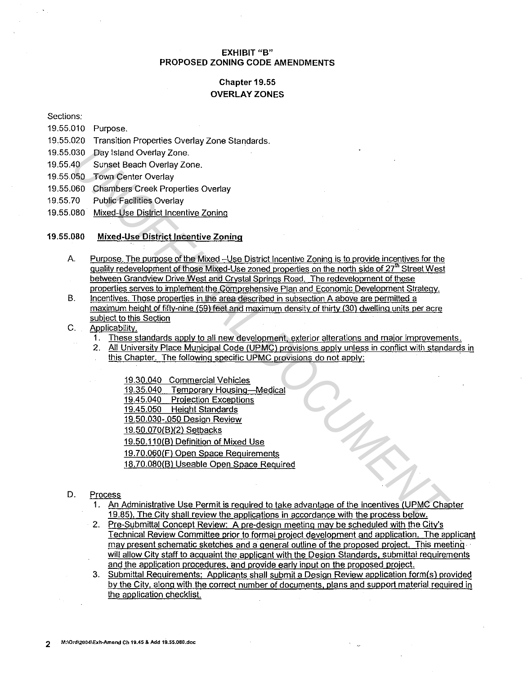## **EXHIBIT "B" PROPOSED ZONING CODE AMENDMENTS**

# **Chapter 19.55 OVERLAY ZONES**

Sections:

- 19.55.010 Purpose.
- 19.55.020 Transition Properties Overlay Zone Standards.
- 19.55.030 Day Island Overlay Zone.
- 19.55.40 Sunset Beach Overlay Zone.
- 19.55.050 Town Center Overlay
- 19.55.060 Chambers Creek Properties Overlay
- 19.55.70 Public·Facilities Overlay
- 19.55.080 Mixed-Use District Incentive Zoning

### 19.55.080 **Mixed-Use District Incentive Zoning**

- A. Purpose. The purpose of the Mixed -Use District Incentive Zoning is to provide incentives for the quality redevelopment of those Mixed-Use zoned properties on the north side of 27<sup>th</sup> Street West between Grandview Drive West and Crystal Springs Road. The redevelopment of these properties serves to implement the Comprehensive Plan and Economic Development Strategy.
- B. Incentives. Those properties in the area described in subsection A above are permitted a maximum height of fifty-nine (59) feet and maximum density of thirty (30) dwelling units per acre subject to this Section
- C. Applicability.
	- 1. These standards apply to all new development, exterior alterations and major improvements.
	- 2. All University Place Municipal Code (UPMC) provisions apply unless in conflict with standards in
		- this Chapter. The following specific UPMC provisions do not apply:

19.30.040 Commercial Vehicles 19.35.040 Temporary Housing-Medical 19.45.040 Projection Exceptions 19.45.050 Height Standards 19.50.030-.050 Design Review 19.50.070(8)(2) Setbacks 19.50.110(8) Definition of Mixed Use 19.70.060(F) Open Space Requirements 18.70.080(8) Useable Open Space Required 930<br>
2007 Devi Island Overlay Zone.<br>
403 Trivin Center Overlay Zone.<br>
406 Trivin Center Center Worpsteis Overlay<br>
2008 Charlotte List District Incentive Zoning<br>
2009 Charlotte List District Incentive Zoning<br>
400 Mixed-Use

- D. Process
	- 1. An Administrative Use Permit is required to take advantage of the incentives (UPMC Chapter 19.85). The City shall review the applications in accordance with the process below.
	- 2. Pre-Submittal Concept Review: A pre-design meeting may be scheduled with the City's Technical Review Committee prior to formal project development and application. The applicant may present schematic sketches and a general outline of the proposed project. This meeting· will allow City staff to acquaint the applicant with the Design Standards, submittal requirements and the application procedures. and provide early input on the proposed project.
	- 3. Submittal Requirements: Applicants shall submit a Design Review application form(s) provided by the City, along with the correct number of documents, plans and support material required in the application checklist.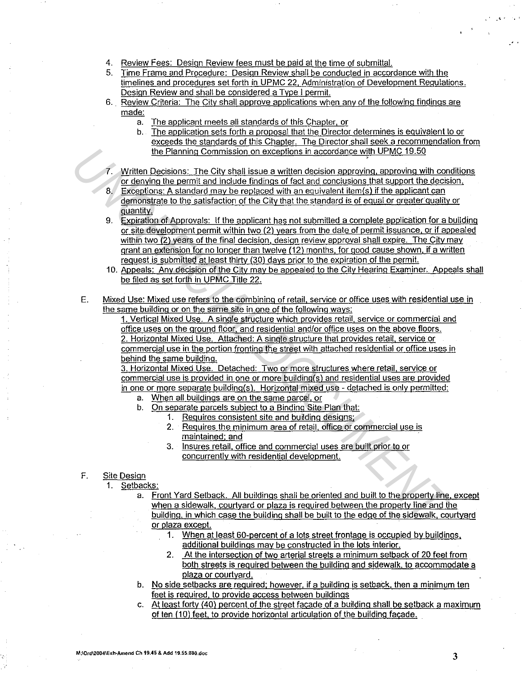- 4. Review Fees: Design Review fees must be paid at the time of submittal.
- 5. Time Frame and Procedure: Design Review shall be conducted in accordance with the timelines and procedures set forth in UPMC 22. Administration of Development Regulations. Design Review and shall be considered a Type I permit.
- 6. Review Criteria: The City shall approve applications when any of the following findings are made:
	- a. The applicant meets all standards of this Chapter. or
	- b. The application sets forth a proposal that the Director determines is equivalent to or exceeds the standards of this Chapter. The Director shall seek a recommendation from the Planning Commission on exceptions in accordance with UPMC 19.50
- Written Decisions: The City shall issue a written decision approving, approving with conditions or denying the permit and include findings of fact and conclusions that support the decision.
- 8. Exceptions: A standard may be replaced with an equivalent item(s) if the applicant can demonstrate to the satisfaction of the City that the standard is of equal or greater quality or quantity.
- 9. Expiration of Approvals: If the applicant has not submitted a complete application for a building or site development permit within two (2) years from the date of permit issuance. or if appealed within two (2) years of the final decision, design review approval shall expire. The City may grant an extension for no longer than twelve (12) months, for good cause shown, if a written request is submitted at least thirty (30) days prior to the expiration of the permit. the Pianning Commission, on exceptions in accordance with UPMC 19.50<br>
7. Written Decisions. The City shall issue at written decision approxima, approving with commission and the distribution of fead and conclusions that s
	- 10. Appeals: Any decision of the City may be appealed to the City Hearing Examiner. Appeals shall be filed as set forth in UPMC Title 22.
	- E. Mixed Use: Mixed use refers to the combining of retail. service or office uses with residential use in the same building or on the same site in one of the following ways:

1. Vertical Mixed Use. A single structure which provides retail. service or commercial and office uses on the ground floor. and residential and/or office uses on the above floors. 2. Horizontal Mixed Use. Attached: A single structure that provides retail, service or

commercial use in the portion fronting the street with attached residential or office uses in behind the same building.

3. Horizontal Mixed Use. Detached: Two or more structures where retail. service or commercial use is provided in one or more building(s) and residential uses are provided in one or more separate building(s). Horizontal mixed use - detached is only permitted:

- a. When all buildings are on the same parcel. or
- b. On separate parcels subject to a Binding Site Plan that:
	- 1. Requires consistent site and building designs:
	- 2. Requires the minimum area of retail, office or commercial use is maintained; and
	- 3. Insures retail, office and commercial uses are built prior to or concurrently with residential development.

### F. Site Design

- 1. Setbacks:
	- a. Front Yard Setback. All buildings shall be oriented and built to the property line. except when a sidewalk. courtyard or plaza is required between the property line and the building. in which case the building shall be built to the edge of the sidewalk. courtyard or plaza except.
		- 1. When at least 60-percent of a lots street frontage is occupied by buildings. additional buildings may be constructed in the lots interior.
		- 2. At the intersection of two arterial streets a minimum setback of 20 feet from both streets is required between the building and sidewalk. to accommodate a plaza or courtyard.
	- b. No side setbacks are required; however. if a building is setback. then a minimum ten feet is required. to provide access between buildings
	- c. At least forty (40) percent of the street facade of a building shall be setback a maximum of ten (10) feet, to provide horizontal articulation of the building facade.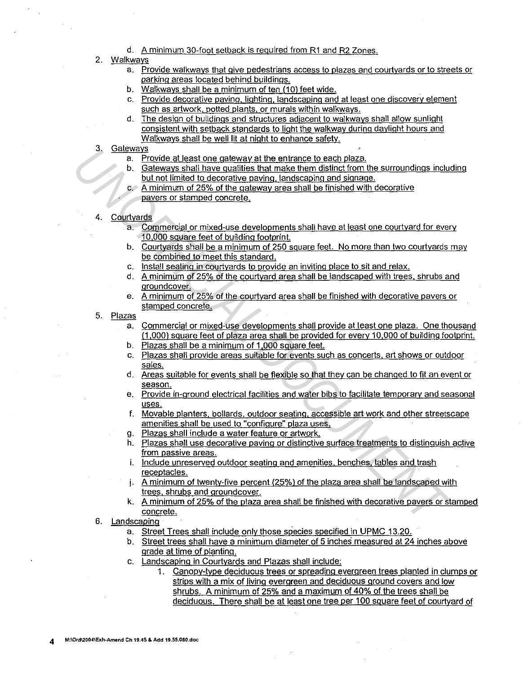- d. A minimum 30-foot setback is required from R1 and R2 Zones.
- 2. Walkways
	- a. Provide walkways that give pedestrians access to plazas and courtyards or to streets or parking areas located behind buildings.
	- b. Walkways shall be a minimum of ten (10) feet wide.
	- c. Provide decorative paving. lighting. landscaping and at least one discovery element such as artwork. potted plants, or murals within walkways.
	- d. The design of buildings and structures adjacent to walkways shall allow sunlight consistent with setback standards to light the walkway during daylight hours and Walkways shall be well lit at night to enhance safety.
- 3. Gateways
	- a. Provide at least one gateway at the entrance to each plaza.
	- b. Gateways shall have qualities that make them distinct from the surroundings including but not limited to decorative paving. landscaping and signage.
	- c. A minimum of 25% of the gateway area shall be finished with decorative pavers or stamped concrete.
- 4. Courtyards
	- a. Commercial or mixed-use developments shall have at least one courtyard for everv 10,000 square feet of building footprint.
	- b. Courtyards shall be a minimum of 250 square feet. No more than two courtyards may be combined to meet this standard.
	- c. Install seating in courtyards to provide an inviting place to sit and relax.
	- d. A minimum of 25% of the courtyard area shall be landscaped with trees. shrubs and groundcover.
	- e. A minimum of 25% of the courtyard area shall be finished with decorative pavers or stamped concrete.
- 5. <u>Plazas</u>
- a. Commercial or mixed-use developments shall provide at least one plaza. One thousand (1,000) square feet of plaza area shall be provided for every 10,000 of building footprint. 4. Galear Control of a least one gateway at the entrence to each plaze.<br> **1** B. Provide at least one gateway at the entrence to each plaze.<br> **10.** Collecting the control of the control of the film of transmitted from the
	- b. Plazas shall be a minimum of 1,000 square feet.
	- c. Plazas shall provide areas suitable for events such as concerts, art shows or outdoor sales.
	- d. Areas suitable for events shall be flexible so that they can be changed to fit an event or season.
	- e. Provide in-ground electrical facilities and water bibs to facilitate temporary and seasonal uses.
	- f. Movable planters. bollards. outdoor seating. accessible art work and other streetscape amenities shall be used to "configure" plaza uses.
	- g. Plazas shall include a water feature or artwork.
	- h. Plazas shall use decorative paving or distinctive surface treatments to distinguish active from passive areas.
	- i. Include unreserved outdoor seating and amenities. benches. tables and trash receptacles.
	- j. A minimum of twenty-five percent (25%) of the plaza area shall be landscaped with trees. shrubs and groundcover.
	- k. A minimum of 25% of the plaza area shall be finished with decorative pavers or stamped concrete.
	- 6. Landscaping
		- a. Street Trees shall include only those species specified in UPMC 13.20.
		- b. Street trees shall have a minimum diameter of 5 inches measured at 24 inches above grade at time of planting.
		- c. Landscaping in Courtyards and Plazas shall include:
			- 1. Canopy-type deciduous trees or spreading evergreen trees planted in clumps or strips with a mix of living evergreen and deciduous ground covers and low shrubs. A minimum of 25% and a maximum of 40% of the trees shall be deciduous. There shall be at least one tree per 100 square feet of courtyard of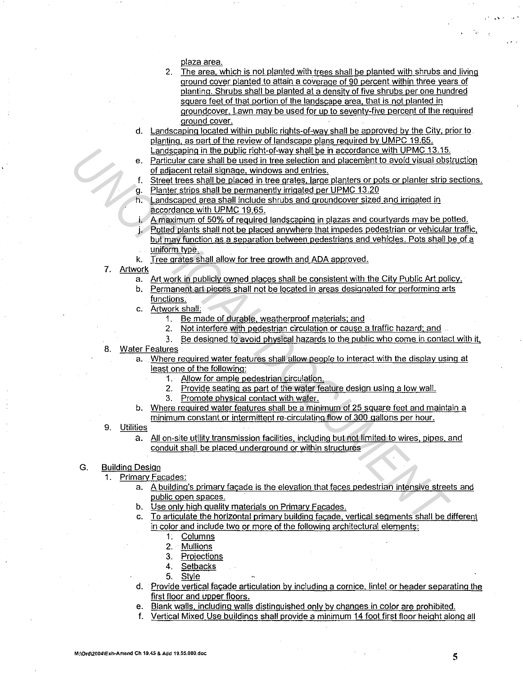plaza area.

- 2. The area. which is not planted with trees shall be planted with shrubs and living ground cover planted to attain a coverage of 90 percent within three years of planting. Shrubs shall be planted at a density of five shrubs per one hundred square feet of that portion of the landscape area. that is not planted in qroundcover. Lawn may be used for up to seventy-five percent of the required ground cover.
- d. Landscaping located within public rights-of-way shall be approved by the City. prior to planting. as part of the review of landscape plans required by UMPC 19.65. Landscaping in the public right-of-way shall be in accordance with UPMC 13.15.
- e. Particular care shall be used in tree selection and placement to avoid visual obstruction of adjacent retail signage. windows and entries. **Landscepting in the Apthic froth-vort way shall be in accordone with UPMC 13.15.**<br> **C** *Mediacont (teleli sings and commentive transition and single user the age of the promotions and entities a profile of UPMC 13.20<br> P* 
	- Street trees shall be placed in tree grates, large planters or pots or planter strip sections. g. Planter strips shall be permanently irrigated per UPMC 13.20
	- h. Landscaped area shall include shrubs and groundcover sized and irrigated in accordance with UPMC 19.65.
	- i. A maximum of 50% of required landscaping in plazas and courtyards may be potted.
	- j. Potted plants shall not be placed anywhere that impedes pedestrian or vehicular traffic. but may function as a separation between pedestrians and vehicles. Pots shall be of a
		- uniform type.
	- k. Tree grates shall allow for tree growth and ADA approved.
	- 7. Artwork
		- a. Art work in publicly owned places shall be consistent with the City Public Art policy.
		- b. Permanent art pieces shall not be located in areas designated for performing arts functions.
		- c. Artwork shall:
			- 1. Be made of durable. weatherproof materials; and
			- 2. Not interfere with pedestrian circulation or cause a traffic hazard; and
			- 3. Be designed to avoid physical hazards to the public who come in contact with it.
	- 8. Water Features
		- a. Where required water features shall allow people to interact with the display using at least one of the following:
			- 1. Allow for ample pedestrian circulation.
			- 2. Provide seating as part of the water feature design using a low wall.
			- 3. Promote physical contact with water.
		- b. Where required water features shall be a minimum of 25 square feet and maintain a minimum constant or intermittent re-circulating flow of 300 gallons per hour.
	- 9. Utilities
		- a. All on-site utility transmission facilities, including but not limited to wires, pipes, and conduit shall be placed underground or within structures
	- G. Building Design
		- 1. Primary Facades:
			- a. A building's primary facade is the elevation that faces pedestrian intensive streets and public open spaces.
			- b. Use only high quality materials on Primary Facades.
			- c. To articulate the horizontal primary building facade. vertical segments shall be different in color and include two or more of the following architectural elements:
				- 1. Columns
				- 2. Mullions
				- 3. Projections
				- 4. Setbacks
				- 5. Style
			- d. Provide vertical facade articulation by including a cornice, lintel or header separating the first floor and upper floors.
			- e. Blank walls, including walls distinguished only by changes in color are prohibited.
			- f. Vertical Mixed Use buildings shall provide a minimum 14 foot first floor height along all

,' ... '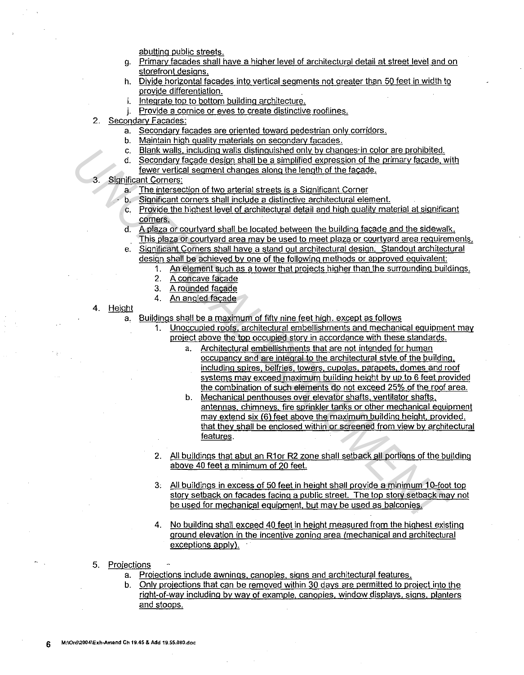abutting public streets.

- g. Primary facades shall have a higher level of architectural detail at street level and on storefront designs.
- h. Divide horizontal facades into vertical segments not greater than 50 feet in width to provide differentiation.
- i. Integrate top to bottom building architecture.
- j. Provide a cornice or eves to create distinctive rooflines.
- 2. Secondary Facades:
	- a. Secondary facades are oriented toward pedestrian only corridors.
	- b. Maintain high quality materials on secondary facades.
	- c. Blank walls. including walls distinguished only by changes· in color are prohibited.
	- d. Secondary facade design shall be a simplified expression of the primary facade, with fewer vertical segment changes along the length of the facade.
- 3. Significant Corners:
	- a. The intersection of two arterial streets is a Significant Corner
	- b. Significant corners shall include a distinctive architectural element.
	- c. Provide the highest level of architectural detail and high quality material at significant corners.
	- d. A plaza or courtyard shall be located between the building facade and the sidewalk. This plaza or courtyard area may be used to meet plaza or courtyard area requirements.
	- e. Significant Corners shall have a stand out architectural design. Standout architectural design shall be achieved by one of the following methods or approved equivalent:
		- 1. An element such as a tower that projects higher than the surrounding buildings.
		- 2. A concave facade
		- 3. A rounded facade
		- 4. An angled facade
- 4. Height
	- a. Buildings shall be a maximum of fifty nine feet high. except as follows
		- 1. Unoccupied roofs. architectural embellishments and mechanical equipment may project above the top occupied story in accordance with these standards.
- a. Architectural embellishments that are not intended for human occupancy and are integral to the architectural style of the building. including spires. belfries. towers. cupolas. parapets, domes and roof systems may exceed maximum building height by up to 6 feet provided the combination of such elements do not exceed 25% of the roof area. C. Blannix walls including walls distinguished only by chances in color are probinted.<br> **UNOFFICIAL DOCUMENT AND A CONSIST CONSISTS ASSESS**<br>
Subset Corners:<br> **UNOFFICIAL SECTION OF A CONSIST CONSISTS**<br> **UNOFFICIAL DOCUMENT** 
	- b. Mechanical penthouses over elevator shafts. ventilator shafts. antennas. chimneys. fire sprinkler tanks or other mechanical equipment may extend six (6) feet above the maximum building height. provided. that they shall be enclosed within or screened from view by architectural features.
	- 2. All buildings that abut an R1or R2 zone shall setback all portions of the building above 40 feet a minimum of 20 feet.
	- 3, All buildings in excess of 50 feet in height shall provide a minimum 10-foot top story setback on facades facing a public street. The top story setback may not be used for mechanical equipment. but may be used as balconies.
	- 4. No building shall exceed 40 feet in height measured from the highest existing ground elevation in the incentive zoning area (mechanical and architectural exceptions apply).
	- 5. Projections
		- a. Projections include awnings. canopies. signs and architectural features.
		- b. Only projections that can be removed within 30 days are permitted to project into the right-of-way including by way of example. canopies. window displays. signs, planters and stoops.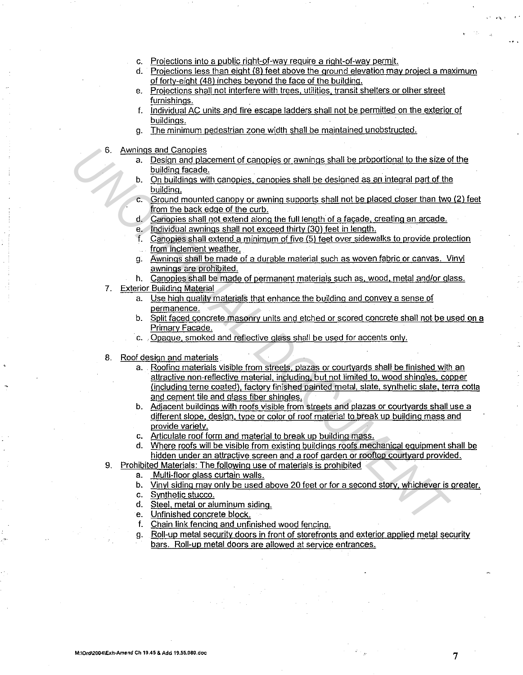- c. Projections into a public right-of-way require a right-of-way permit.
- d. Projections less than eight (8) feet above the ground elevation may project a maximum of forty-eight (48) inches beyond the face of the building.
- e. Projections shall not interfere with trees. utilities. transit shelters or other street furnishings.
- f. Individual AC units and fire escape ladders shall not be permitted on the exterior of buildings.
- g. The minimum pedestrian zone width shall be maintained unobstructed.
- 6. Awnings and Canopies
	- a. Design and placement of canopies or awnings shall be proportional to the size of the building facade.
	- b. On buildings with canopies. canopies shall be designed as an integral part of the building.
	- c. Ground mounted canopy or awning supports shall not be placed closer than two  $(2)$  feet from the back edge of the curb.
	- d. Canopies shall not extend along the full length of a facade. creating an arcade.
	- e. Individual awnings shall not exceed thirty (30) feet in length.
	- f. Canopies shall extend a minimum of five (5) feet over sidewalks to provide protection from inclement weather.
	- g. Awnings shall be made of a durable material such as woven fabric or canvas. Vinyl awnings are prohibited.
	- h. Canopies shall be made of permanent materials such as, wood. metal and/or glass.
- 7. Exterior Building Material
	- a. Use high quality materials that enhance the building and convey a sense of **permanence.**
	- b. Split faced concrete masonry units and etched or scored concrete shall not be used on a Primary Facade.
	- c. Opaque. smoked and reflective glass shall be used for accents only.
- 8. Roof design and materials
- a. Roofing materials visible from streets. plazas or courtyards shall be finished with an attractive non-reflective material. including. but not limited to. wood shingles, copper (including terne coated), factory finished painted metal, slate. synthetic slate. terra cotta and cement tile and glass fiber shingles. For a considerably the size of Canadian Same (Same the size of Canadian Same in the size of the size of the size of the sixe of the sixe of the considerably the sixe of the considerably continued about the sixe of the con
	- b. Adjacent buildings with roofs visible from streets and plazas or courtyards shall use a different slope, design, type or color of roof material to break up building mass and provide variety.
	- c. Articulate roof form and material to break up building mass.
	- d. Where roofs will be visible from existing buildings roofs mechanical equipment shall be hidden under an attractive screen and a roof garden or rooftop courtyard provided.
	- 9. Prohibited Materials: The following use of materials is prohibited
		- a. Multi-floor glass curtain walls.
		- b. Vinyl siding may only be used above 20 feet or for a second story, whichever is greater.
		- c. Synthetic stucco.
		- d. Steel. metal or aluminum siding.
		- e. Unfinished concrete block.
		- f. Chain link fencing and unfinished wood fencing.
		- g. Roll-up metal security doors in front of storefronts and exterior applied metal security bars. Roll-up metal doors are allowed at service entrances.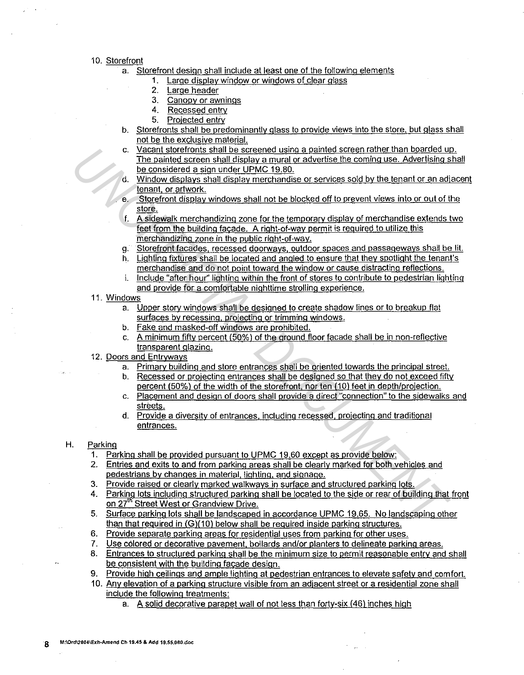### 10. Storefront

- a. Storefront design shall include at least one of the following elements
	- 1. Large display window or windows of clear glass
	- 2. Large header
	- 3. Canopy or awnings
	- 4. Recessed entry
	- 5. Projected entry
- b. Storefronts shall be predominantly glass to provide views into the store. but glass shall not be the exclusive material.
- c. Vacant storefronts shall be screened using a painted screen rather than boarded up. The painted screen shall display a mural or advertise the coming use. Advertising shall be considered a sign under UPMC 19.80.
- Window displays shall display merchandise or services sold by the tenant or an adjacent tenant. or artwork.
- e. Storefront display windows shall not be blocked off to prevent views into or out of the store.
- f. A sidewalk merchandizing zone for the temporary display of merchandise extends two feet from the building facade. A right-of-way permit is required to utilize this merchandizinq zone in the public right-of-way. C. V<u>iceorit for the business that the streeted using a pairied screen as the constrained a sign uncer UPMC 19.80.<br>
The pairded screen shall display anymal or advortise the coming use. Advertising state with the constrain</u>
	- g. Storefront facades, recessed doorways, outdoor spaces and passageways shall be lit.
	- h. Lighting fixtures shall be located and angled to ensure that they spotlight the tenant's merchandise and do not point toward the window or cause distracting reflections.
	- i. Include "after hour" lighting within the front of stores to contribute to pedestrian lighting and provide for a comfortable nighttime strolling experience.
	- 11. Windows
		- a. Upper story windows shall be designed to create shadow lines or to breakup flat surfaces by recessing. projecting or trimming windows.
		- b. Fake and masked-off windows are prohibited.
		- c. A minimum fifty percent (50%) of the ground floor facade shall be in non-reflective transparent glazing.
	- 12. Doors and Entryways
		- a. Primary building and store entrances shall be oriented towards the principal street.
		- b. Recessed or projecting entrances shall be designed so that they do not exceed fifty percent (50%) of the width of the storefront. nor ten (10) feet in depth/projection.
		- c. Placement and design of doors shall provide a direct "connection" to the sidewalks and streets.
		- d. Provide a diversity of entrances. including recessed. projecting and traditional entrances.

## H. Parking

- 1. Parking shall be provided pursuant to UPMC 19.60 except as provide below:
- 2. Entries and exits to and from parking areas shall be clearly marked for both vehicles and pedestrians by changes in material. lighting, and signage.
- 3. Provide raised or clearly marked walkways in surface and structured parking lots.
- 4. Parking lots including structured parking shall be located to the side or rear of building that front on 27<sup>th</sup> Street West or Grandview Drive.
- 5. Surface parking lots shall be landscaped in accordance UPMC 19.65, No landscaping other than that required in (G)(10) below shall be required inside parking structures.
- 6. Provide separate parking areas for residential uses from parking for other uses.
- 7. Use colored or decorative pavement, bollards and/or planters to delineate parking areas.
- 8. Entrances to structured parking shall be the minimum size to permit reasonable entry and shall be consistent with the building facade design.
- 9. Provide high ceilings and ample lighting at pedestrian entrances to elevate safety and comfort.
- 10. Any elevation of a parking structure visible from an adjacent street or a residential zone shall include the following treatments:
	- a. A solid decorative parapet wall of not less than forty-six (46) inches high